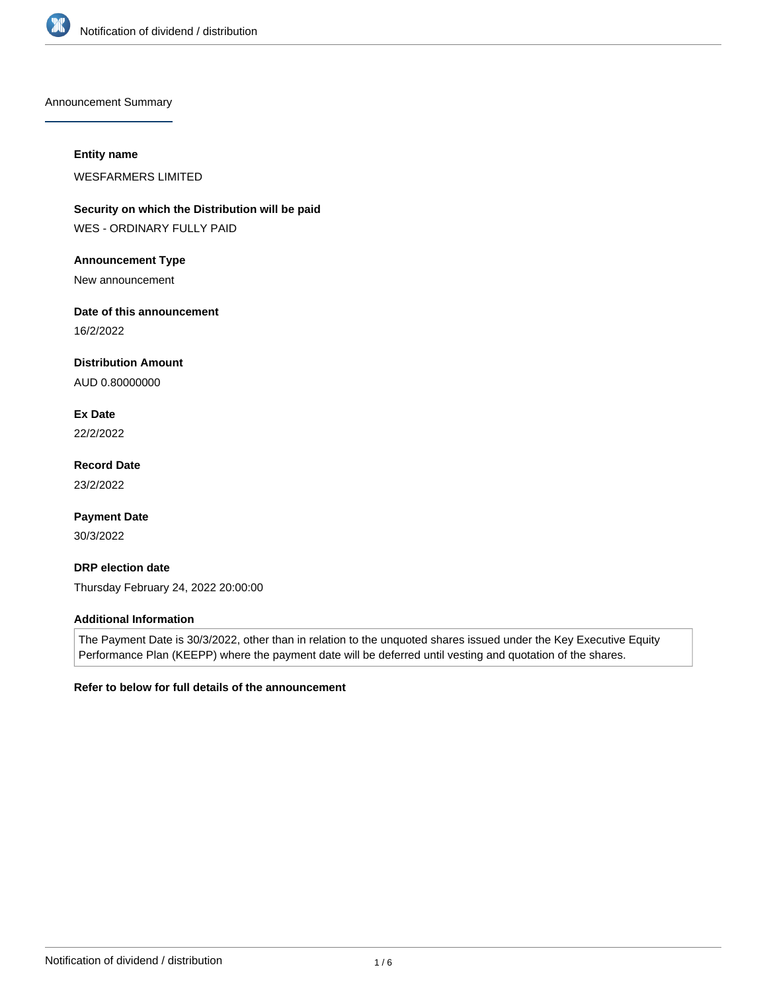

Announcement Summary

### **Entity name**

WESFARMERS LIMITED

**Security on which the Distribution will be paid**

WES - ORDINARY FULLY PAID

# **Announcement Type**

New announcement

# **Date of this announcement**

16/2/2022

# **Distribution Amount**

AUD 0.80000000

**Ex Date** 22/2/2022

**Record Date** 23/2/2022

**Payment Date** 30/3/2022

# **DRP election date** Thursday February 24, 2022 20:00:00

# **Additional Information**

The Payment Date is 30/3/2022, other than in relation to the unquoted shares issued under the Key Executive Equity Performance Plan (KEEPP) where the payment date will be deferred until vesting and quotation of the shares.

# **Refer to below for full details of the announcement**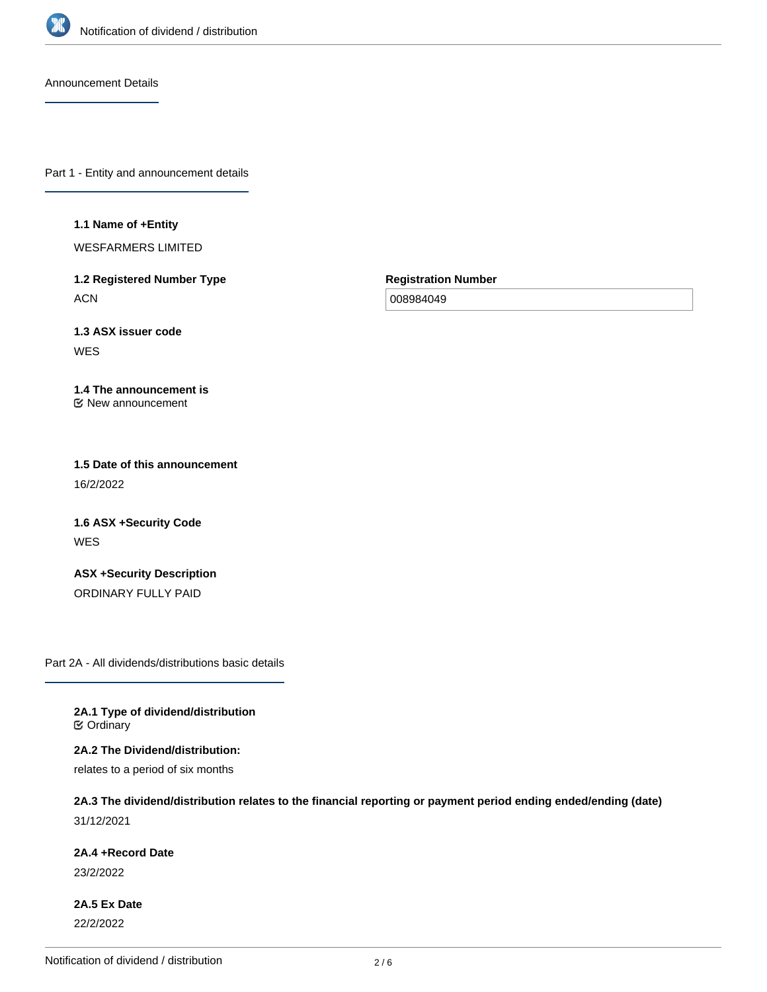

Announcement Details

Part 1 - Entity and announcement details

#### **1.1 Name of +Entity**

WESFARMERS LIMITED

**1.2 Registered Number Type ACN** 

**Registration Number**

008984049

**1.3 ASX issuer code WES** 

#### **1.4 The announcement is** New announcement

**1.5 Date of this announcement** 16/2/2022

**1.6 ASX +Security Code** WES

**ASX +Security Description** ORDINARY FULLY PAID

Part 2A - All dividends/distributions basic details

**2A.1 Type of dividend/distribution C** Ordinary

**2A.2 The Dividend/distribution:**

relates to a period of six months

# **2A.3 The dividend/distribution relates to the financial reporting or payment period ending ended/ending (date)** 31/12/2021

**2A.4 +Record Date**

23/2/2022

**2A.5 Ex Date** 22/2/2022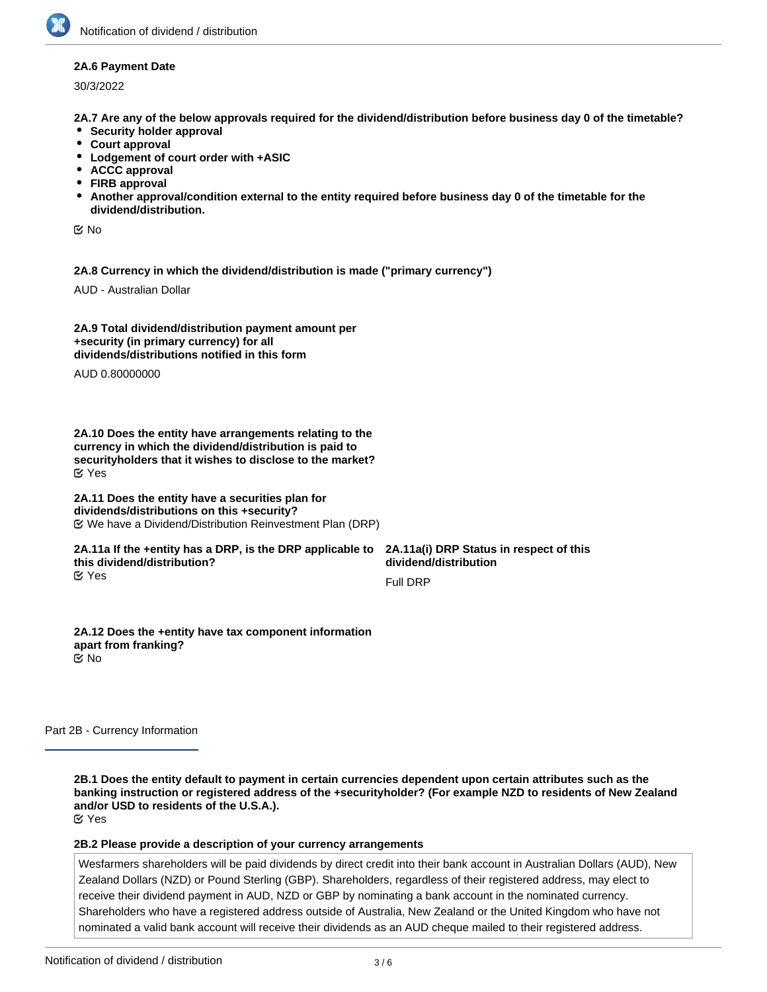### **2A.6 Payment Date**

30/3/2022

**2A.7 Are any of the below approvals required for the dividend/distribution before business day 0 of the timetable?**

- **•** Security holder approval
- **Court approval**
- **Lodgement of court order with +ASIC**
- **ACCC approval**
- **FIRB approval**
- **Another approval/condition external to the entity required before business day 0 of the timetable for the dividend/distribution.**

No

**2A.8 Currency in which the dividend/distribution is made ("primary currency")**

AUD - Australian Dollar

**2A.9 Total dividend/distribution payment amount per +security (in primary currency) for all dividends/distributions notified in this form**

AUD 0.80000000

**2A.10 Does the entity have arrangements relating to the currency in which the dividend/distribution is paid to securityholders that it wishes to disclose to the market?** Yes

#### **2A.11 Does the entity have a securities plan for dividends/distributions on this +security?** We have a Dividend/Distribution Reinvestment Plan (DRP)

#### **2A.11a If the +entity has a DRP, is the DRP applicable to this dividend/distribution?** Yes

**2A.11a(i) DRP Status in respect of this dividend/distribution**

Full DRP

**2A.12 Does the +entity have tax component information apart from franking?** No

Part 2B - Currency Information

**2B.1 Does the entity default to payment in certain currencies dependent upon certain attributes such as the banking instruction or registered address of the +securityholder? (For example NZD to residents of New Zealand and/or USD to residents of the U.S.A.).** Yes

**2B.2 Please provide a description of your currency arrangements**

Wesfarmers shareholders will be paid dividends by direct credit into their bank account in Australian Dollars (AUD), New Zealand Dollars (NZD) or Pound Sterling (GBP). Shareholders, regardless of their registered address, may elect to receive their dividend payment in AUD, NZD or GBP by nominating a bank account in the nominated currency. Shareholders who have a registered address outside of Australia, New Zealand or the United Kingdom who have not nominated a valid bank account will receive their dividends as an AUD cheque mailed to their registered address.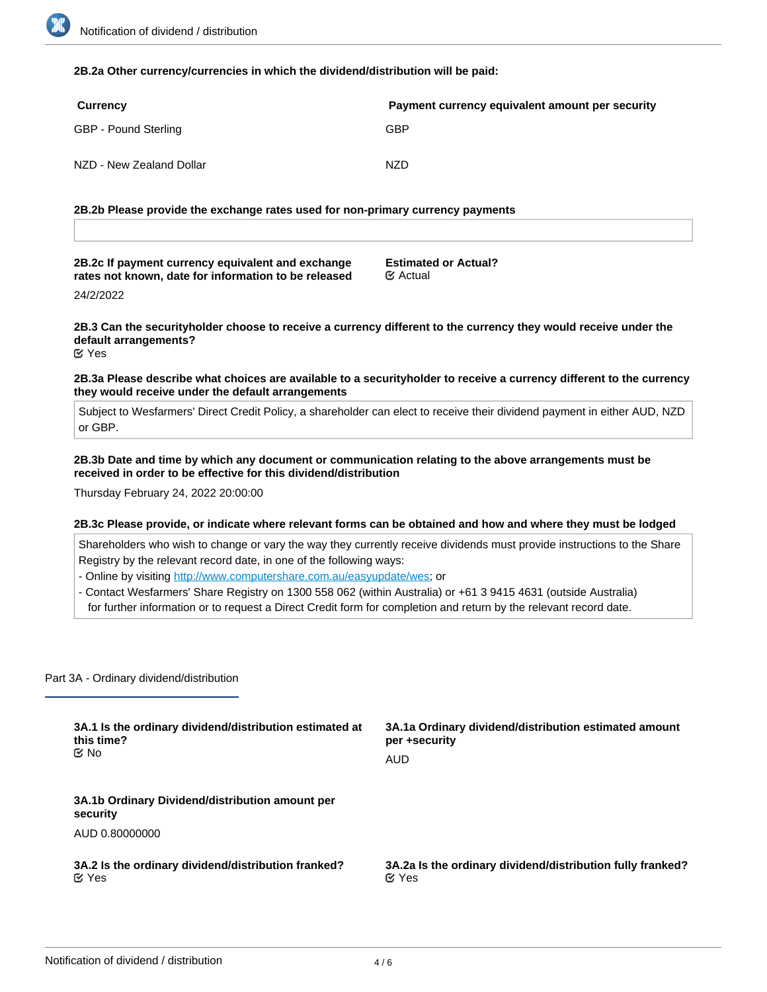#### **2B.2a Other currency/currencies in which the dividend/distribution will be paid:**

| Currency                 | Payment currency equivalent amount per security |
|--------------------------|-------------------------------------------------|
| GBP - Pound Sterling     | GBP                                             |
| NZD - New Zealand Dollar | NZD                                             |

**2B.2b Please provide the exchange rates used for non-primary currency payments**

**2B.2c If payment currency equivalent and exchange rates not known, date for information to be released**

**Estimated or Actual?** Actual

24/2/2022

**2B.3 Can the securityholder choose to receive a currency different to the currency they would receive under the default arrangements?**

Yes

**2B.3a Please describe what choices are available to a securityholder to receive a currency different to the currency they would receive under the default arrangements**

Subject to Wesfarmers' Direct Credit Policy, a shareholder can elect to receive their dividend payment in either AUD, NZD or GBP.

**2B.3b Date and time by which any document or communication relating to the above arrangements must be received in order to be effective for this dividend/distribution**

Thursday February 24, 2022 20:00:00

#### **2B.3c Please provide, or indicate where relevant forms can be obtained and how and where they must be lodged**

Shareholders who wish to change or vary the way they currently receive dividends must provide instructions to the Share Registry by the relevant record date, in one of the following ways:

- Online by visiting <http://www.computershare.com.au/easyupdate/wes>; or

- Contact Wesfarmers' Share Registry on 1300 558 062 (within Australia) or +61 3 9415 4631 (outside Australia)

for further information or to request a Direct Credit form for completion and return by the relevant record date.

Part 3A - Ordinary dividend/distribution

| 3A.1 Is the ordinary dividend/distribution estimated at     | 3A.1a Ordinary dividend/distribution estimated amount      |
|-------------------------------------------------------------|------------------------------------------------------------|
| this time?                                                  | per +security                                              |
| ় No                                                        | <b>AUD</b>                                                 |
| 3A.1b Ordinary Dividend/distribution amount per<br>security |                                                            |
| AUD 0.80000000                                              |                                                            |
| 3A.2 Is the ordinary dividend/distribution franked?         | 3A.2a Is the ordinary dividend/distribution fully franked? |
| $\alpha$ Yes                                                | $\mathfrak{C}$ Yes                                         |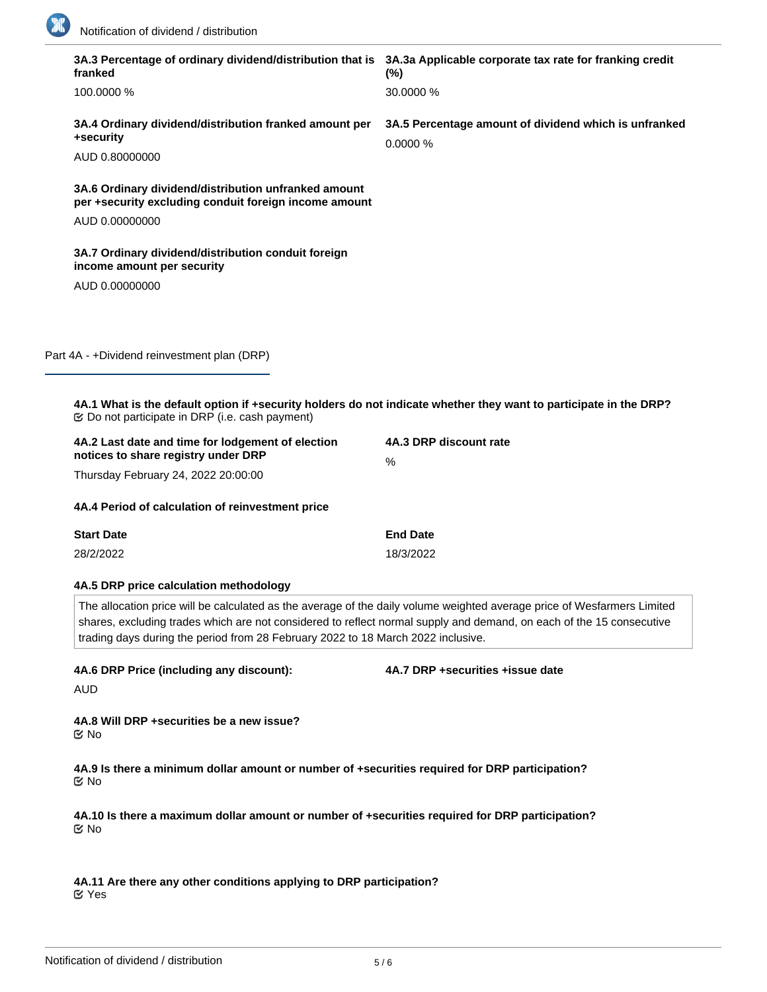

| 3A.3 Percentage of ordinary dividend/distribution that is 3A.3a Applicable corporate tax rate for franking credit<br>franked                                                                                                                                                                                                        | $(\% )$                                                          |
|-------------------------------------------------------------------------------------------------------------------------------------------------------------------------------------------------------------------------------------------------------------------------------------------------------------------------------------|------------------------------------------------------------------|
| 100.0000 %                                                                                                                                                                                                                                                                                                                          | 30.0000 %                                                        |
| 3A.4 Ordinary dividend/distribution franked amount per<br>+security                                                                                                                                                                                                                                                                 | 3A.5 Percentage amount of dividend which is unfranked<br>0.0000% |
| AUD 0.80000000                                                                                                                                                                                                                                                                                                                      |                                                                  |
| 3A.6 Ordinary dividend/distribution unfranked amount<br>per +security excluding conduit foreign income amount                                                                                                                                                                                                                       |                                                                  |
| AUD 0.00000000                                                                                                                                                                                                                                                                                                                      |                                                                  |
| 3A.7 Ordinary dividend/distribution conduit foreign<br>income amount per security                                                                                                                                                                                                                                                   |                                                                  |
| AUD 0.00000000                                                                                                                                                                                                                                                                                                                      |                                                                  |
|                                                                                                                                                                                                                                                                                                                                     |                                                                  |
| Part 4A - +Dividend reinvestment plan (DRP)                                                                                                                                                                                                                                                                                         |                                                                  |
|                                                                                                                                                                                                                                                                                                                                     |                                                                  |
| 4A.1 What is the default option if +security holders do not indicate whether they want to participate in the DRP?<br><b>Ø</b> Do not participate in DRP (i.e. cash payment)                                                                                                                                                         |                                                                  |
| 4A.2 Last date and time for lodgement of election<br>notices to share registry under DRP                                                                                                                                                                                                                                            | 4A.3 DRP discount rate<br>$\%$                                   |
| Thursday February 24, 2022 20:00:00                                                                                                                                                                                                                                                                                                 |                                                                  |
| 4A.4 Period of calculation of reinvestment price                                                                                                                                                                                                                                                                                    |                                                                  |
| <b>Start Date</b>                                                                                                                                                                                                                                                                                                                   | <b>End Date</b>                                                  |
| 28/2/2022                                                                                                                                                                                                                                                                                                                           | 18/3/2022                                                        |
| 4A.5 DRP price calculation methodology                                                                                                                                                                                                                                                                                              |                                                                  |
| The allocation price will be calculated as the average of the daily volume weighted average price of Wesfarmers Limited<br>shares, excluding trades which are not considered to reflect normal supply and demand, on each of the 15 consecutive<br>trading days during the period from 28 February 2022 to 18 March 2022 inclusive. |                                                                  |
| 4A.6 DRP Price (including any discount):<br>AUD                                                                                                                                                                                                                                                                                     | 4A.7 DRP +securities +issue date                                 |
| 4A.8 Will DRP +securities be a new issue?<br><b>Mo</b>                                                                                                                                                                                                                                                                              |                                                                  |
| 4A.9 Is there a minimum dollar amount or number of +securities required for DRP participation?<br>$\mathfrak{C}$ No                                                                                                                                                                                                                 |                                                                  |
| 4A.10 Is there a maximum dollar amount or number of +securities required for DRP participation?<br>$\mathfrak{C}$ No                                                                                                                                                                                                                |                                                                  |
| 4A.11 Are there any other conditions applying to DRP participation?<br>$\mathfrak{C}$ Yes                                                                                                                                                                                                                                           |                                                                  |